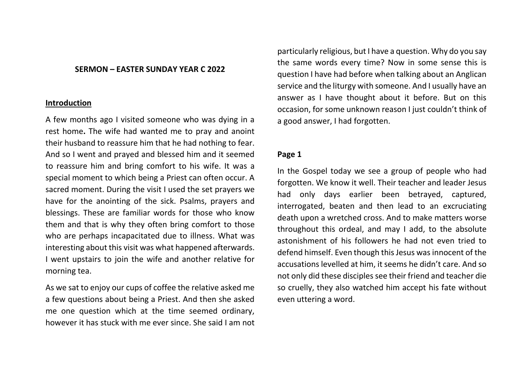#### **SERMON – EASTER SUNDAY YEAR C 2022**

#### **Introduction**

A few months ago I visited someone who was dying in a rest home**.** The wife had wanted me to pray and anoint their husband to reassure him that he had nothing to fear. And so I went and prayed and blessed him and it seemed to reassure him and bring comfort to his wife. It was a special moment to which being a Priest can often occur. A sacred moment. During the visit I used the set prayers we have for the anointing of the sick. Psalms, prayers and blessings. These are familiar words for those who know them and that is why they often bring comfort to those who are perhaps incapacitated due to illness. What was interesting about this visit was what happened afterwards. I went upstairs to join the wife and another relative for morning tea.

As we sat to enjoy our cups of coffee the relative asked me a few questions about being a Priest. And then she asked me one question which at the time seemed ordinary, however it has stuck with me ever since. She said I am not

particularly religious, but I have a question. Why do you say the same words every time? Now in some sense this is question I have had before when talking about an Anglican service and the liturgy with someone. And I usually have an answer as I have thought about it before. But on this occasion, for some unknown reason I just couldn't think of a good answer, I had forgotten.

## **Page 1**

In the Gospel today we see a group of people who had forgotten. We know it well. Their teacher and leader Jesus had only days earlier been betrayed, captured, interrogated, beaten and then lead to an excruciating death upon a wretched cross. And to make matters worse throughout this ordeal, and may I add, to the absolute astonishment of his followers he had not even tried to defend himself. Even though this Jesus was innocent of the accusations levelled at him, it seems he didn't care. And so not only did these disciples see their friend and teacher die so cruelly, they also watched him accept his fate without even uttering a word.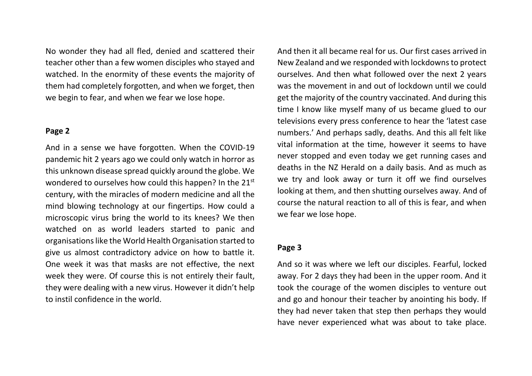No wonder they had all fled, denied and scattered their teacher other than a few women disciples who stayed and watched. In the enormity of these events the majority of them had completely forgotten, and when we forget, then we begin to fear, and when we fear we lose hope.

## **Page 2**

And in a sense we have forgotten. When the COVID-19 pandemic hit 2 years ago we could only watch in horror as this unknown disease spread quickly around the globe. We wondered to ourselves how could this happen? In the 21<sup>st</sup> century, with the miracles of modern medicine and all the mind blowing technology at our fingertips. How could a microscopic virus bring the world to its knees? We then watched on as world leaders started to panic and organisations like the World Health Organisation started to give us almost contradictory advice on how to battle it. One week it was that masks are not effective, the next week they were. Of course this is not entirely their fault, they were dealing with a new virus. However it didn't help to instil confidence in the world.

And then it all became real for us. Our first cases arrived in New Zealand and we responded with lockdowns to protect ourselves. And then what followed over the next 2 years was the movement in and out of lockdown until we could get the majority of the country vaccinated. And during this time I know like myself many of us became glued to our televisions every press conference to hear the 'latest case numbers.' And perhaps sadly, deaths. And this all felt like vital information at the time, however it seems to have never stopped and even today we get running cases and deaths in the NZ Herald on a daily basis. And as much as we try and look away or turn it off we find ourselves looking at them, and then shutting ourselves away. And of course the natural reaction to all of this is fear, and when we fear we lose hope.

# **Page 3**

And so it was where we left our disciples. Fearful, locked away. For 2 days they had been in the upper room. And it took the courage of the women disciples to venture out and go and honour their teacher by anointing his body. If they had never taken that step then perhaps they would have never experienced what was about to take place.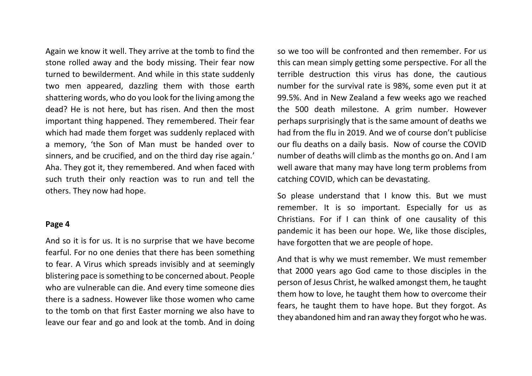Again we know it well. They arrive at the tomb to find the stone rolled away and the body missing. Their fear now turned to bewilderment. And while in this state suddenly two men appeared, dazzling them with those earth shattering words, who do you look for the living among the dead? He is not here, but has risen. And then the most important thing happened. They remembered. Their fear which had made them forget was suddenly replaced with a memory, 'the Son of Man must be handed over to sinners, and be crucified, and on the third day rise again.' Aha. They got it, they remembered. And when faced with such truth their only reaction was to run and tell the others. They now had hope.

## **Page 4**

And so it is for us. It is no surprise that we have become fearful. For no one denies that there has been something to fear. A Virus which spreads invisibly and at seemingly blistering pace is something to be concerned about. People who are vulnerable can die. And every time someone dies there is a sadness. However like those women who came to the tomb on that first Easter morning we also have to leave our fear and go and look at the tomb. And in doing

so we too will be confronted and then remember. For us this can mean simply getting some perspective. For all the terrible destruction this virus has done, the cautious number for the survival rate is 98%, some even put it at 99.5%. And in New Zealand a few weeks ago we reached the 500 death milestone. A grim number. However perhaps surprisingly that is the same amount of deaths we had from the flu in 2019. And we of course don't publicise our flu deaths on a daily basis. Now of course the COVID number of deaths will climb as the months go on. And I am well aware that many may have long term problems from catching COVID, which can be devastating.

So please understand that I know this. But we must remember. It is so important. Especially for us as Christians. For if I can think of one causality of this pandemic it has been our hope. We, like those disciples, have forgotten that we are people of hope.

And that is why we must remember. We must remember that 2000 years ago God came to those disciples in the person of Jesus Christ, he walked amongst them, he taught them how to love, he taught them how to overcome their fears, he taught them to have hope. But they forgot. As they abandoned him and ran away they forgot who he was.